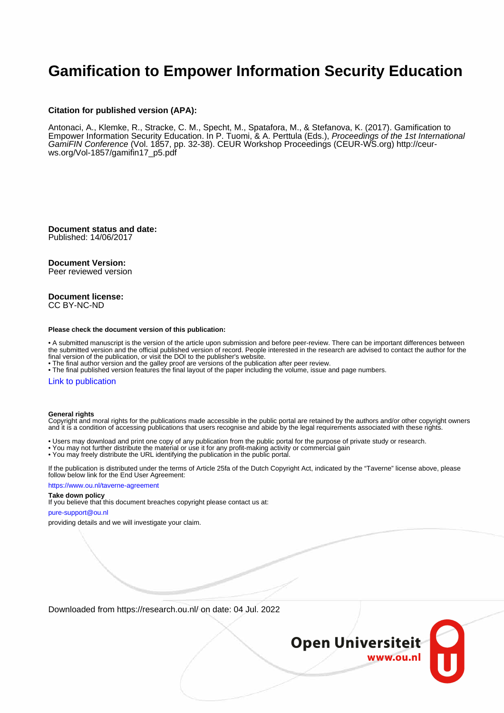# **Gamification to Empower Information Security Education**

### **Citation for published version (APA):**

Antonaci, A., Klemke, R., Stracke, C. M., Specht, M., Spatafora, M., & Stefanova, K. (2017). Gamification to Empower Information Security Education. In P. Tuomi, & A. Perttula (Eds.), Proceedings of the 1st International GamiFIN Conference (Vol. 1857, pp. 32-38). CEUR Workshop Proceedings (CEUR-WS.org) [http://ceur](http://ceur-ws.org/Vol-1857/gamifin17_p5.pdf)[ws.org/Vol-1857/gamifin17\\_p5.pdf](http://ceur-ws.org/Vol-1857/gamifin17_p5.pdf)

**Document status and date:** Published: 14/06/2017

### **Document Version:**

Peer reviewed version

### **Document license:** CC BY-NC-ND

#### **Please check the document version of this publication:**

• A submitted manuscript is the version of the article upon submission and before peer-review. There can be important differences between the submitted version and the official published version of record. People interested in the research are advised to contact the author for the final version of the publication, or visit the DOI to the publisher's website.

• The final author version and the galley proof are versions of the publication after peer review.

• The final published version features the final layout of the paper including the volume, issue and page numbers.

#### [Link to publication](https://research.ou.nl/en/publications/79afe38f-bb2a-4b3a-bc77-45d9db1b2119)

### **General rights**

Copyright and moral rights for the publications made accessible in the public portal are retained by the authors and/or other copyright owners and it is a condition of accessing publications that users recognise and abide by the legal requirements associated with these rights.

- Users may download and print one copy of any publication from the public portal for the purpose of private study or research.
- You may not further distribute the material or use it for any profit-making activity or commercial gain
- You may freely distribute the URL identifying the publication in the public portal.

If the publication is distributed under the terms of Article 25fa of the Dutch Copyright Act, indicated by the "Taverne" license above, please follow below link for the End User Agreement:

#### https://www.ou.nl/taverne-agreement

# **Take down policy**

If you believe that this document breaches copyright please contact us at:

### pure-support@ou.nl

providing details and we will investigate your claim.

Downloaded from https://research.ou.nl/ on date: 04 Jul. 2022

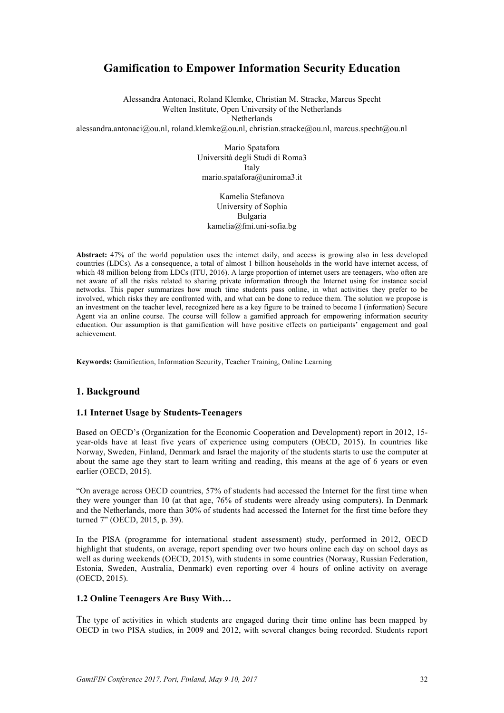# **Gamification to Empower Information Security Education**

Alessandra Antonaci, Roland Klemke, Christian M. Stracke, Marcus Specht Welten Institute, Open University of the Netherlands Netherlands alessandra.antonaci@ou.nl, roland.klemke@ou.nl, christian.stracke@ou.nl, marcus.specht@ou.nl

> Mario Spatafora Università degli Studi di Roma3 Italy mario.spatafora@uniroma3.it

Kamelia Stefanova University of Sophia Bulgaria kamelia@fmi.uni-sofia.bg

**Abstract:** 47% of the world population uses the internet daily, and access is growing also in less developed countries (LDCs). As a consequence, a total of almost 1 billion households in the world have internet access, of which 48 million belong from LDCs (ITU, 2016). A large proportion of internet users are teenagers, who often are not aware of all the risks related to sharing private information through the Internet using for instance social networks. This paper summarizes how much time students pass online, in what activities they prefer to be involved, which risks they are confronted with, and what can be done to reduce them. The solution we propose is an investment on the teacher level, recognized here as a key figure to be trained to become I (information) Secure Agent via an online course. The course will follow a gamified approach for empowering information security education. Our assumption is that gamification will have positive effects on participants' engagement and goal achievement.

**Keywords:** Gamification, Information Security, Teacher Training, Online Learning

# **1. Background**

### **1.1 Internet Usage by Students-Teenagers**

Based on OECD's (Organization for the Economic Cooperation and Development) report in 2012, 15 year-olds have at least five years of experience using computers (OECD, 2015). In countries like Norway, Sweden, Finland, Denmark and Israel the majority of the students starts to use the computer at about the same age they start to learn writing and reading, this means at the age of 6 years or even earlier (OECD, 2015).

"On average across OECD countries, 57% of students had accessed the Internet for the first time when they were younger than 10 (at that age, 76% of students were already using computers). In Denmark and the Netherlands, more than 30% of students had accessed the Internet for the first time before they turned 7" (OECD, 2015, p. 39).

In the PISA (programme for international student assessment) study, performed in 2012, OECD highlight that students, on average, report spending over two hours online each day on school days as well as during weekends (OECD, 2015), with students in some countries (Norway, Russian Federation, Estonia, Sweden, Australia, Denmark) even reporting over 4 hours of online activity on average (OECD, 2015).

### **1.2 Online Teenagers Are Busy With…**

The type of activities in which students are engaged during their time online has been mapped by OECD in two PISA studies, in 2009 and 2012, with several changes being recorded. Students report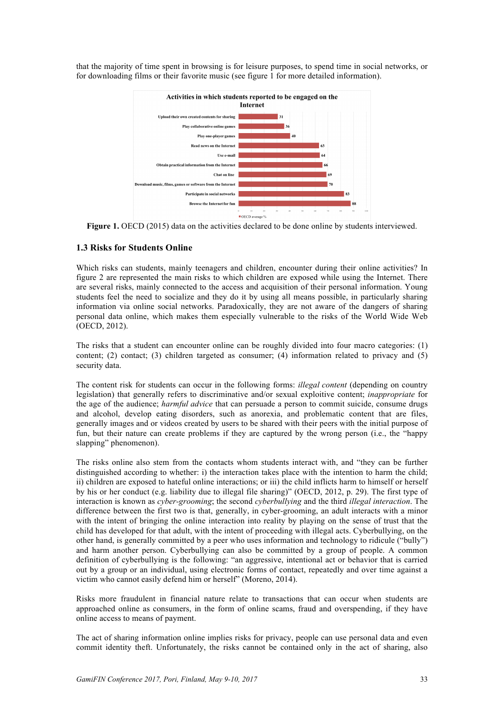that the majority of time spent in browsing is for leisure purposes, to spend time in social networks, or for downloading films or their favorite music (see figure 1 for more detailed information).



**Figure 1.** OECD (2015) data on the activities declared to be done online by students interviewed.

### **1.3 Risks for Students Online**

Which risks can students, mainly teenagers and children, encounter during their online activities? In figure 2 are represented the main risks to which children are exposed while using the Internet. There are several risks, mainly connected to the access and acquisition of their personal information. Young students feel the need to socialize and they do it by using all means possible, in particularly sharing information via online social networks. Paradoxically, they are not aware of the dangers of sharing personal data online, which makes them especially vulnerable to the risks of the World Wide Web (OECD, 2012).

The risks that a student can encounter online can be roughly divided into four macro categories: (1) content; (2) contact; (3) children targeted as consumer; (4) information related to privacy and (5) security data.

The content risk for students can occur in the following forms: *illegal content* (depending on country legislation) that generally refers to discriminative and/or sexual exploitive content; *inappropriate* for the age of the audience; *harmful advice* that can persuade a person to commit suicide, consume drugs and alcohol, develop eating disorders, such as anorexia, and problematic content that are files, generally images and or videos created by users to be shared with their peers with the initial purpose of fun, but their nature can create problems if they are captured by the wrong person (i.e., the "happy slapping" phenomenon).

The risks online also stem from the contacts whom students interact with, and "they can be further distinguished according to whether: i) the interaction takes place with the intention to harm the child; ii) children are exposed to hateful online interactions; or iii) the child inflicts harm to himself or herself by his or her conduct (e.g. liability due to illegal file sharing)" (OECD, 2012, p. 29). The first type of interaction is known as *cyber-grooming*; the second *cyberbullying* and the third *illegal interaction*. The difference between the first two is that, generally, in cyber-grooming, an adult interacts with a minor with the intent of bringing the online interaction into reality by playing on the sense of trust that the child has developed for that adult, with the intent of proceeding with illegal acts. Cyberbullying, on the other hand, is generally committed by a peer who uses information and technology to ridicule ("bully") and harm another person. Cyberbullying can also be committed by a group of people. A common definition of cyberbullying is the following: "an aggressive, intentional act or behavior that is carried out by a group or an individual, using electronic forms of contact, repeatedly and over time against a victim who cannot easily defend him or herself" (Moreno, 2014).

Risks more fraudulent in financial nature relate to transactions that can occur when students are approached online as consumers, in the form of online scams, fraud and overspending, if they have online access to means of payment.

The act of sharing information online implies risks for privacy, people can use personal data and even commit identity theft. Unfortunately, the risks cannot be contained only in the act of sharing, also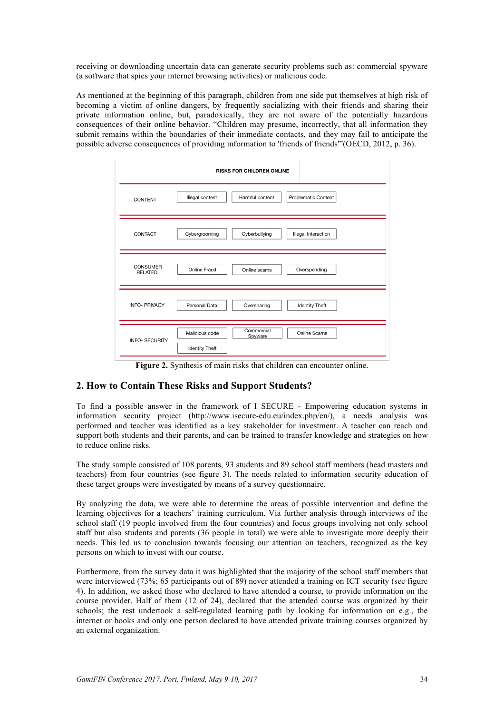receiving or downloading uncertain data can generate security problems such as: commercial spyware (a software that spies your internet browsing activities) or malicious code.

As mentioned at the beginning of this paragraph, children from one side put themselves at high risk of becoming a victim of online dangers, by frequently socializing with their friends and sharing their private information online, but, paradoxically, they are not aware of the potentially hazardous consequences of their online behavior. "Children may presume, incorrectly, that all information they submit remains within the boundaries of their immediate contacts, and they may fail to anticipate the possible adverse consequences of providing information to 'friends of friends'"(OECD, 2012, p. 36).

|                                   | <b>RISKS FOR CHILDREN ONLINE</b>                                                 |
|-----------------------------------|----------------------------------------------------------------------------------|
| <b>CONTENT</b>                    | <b>Problematic Content</b><br>Illegal content<br>Harmful content                 |
| CONTACT                           | <b>Illegal Interaction</b><br>Cybergrooming<br>Cyberbullying                     |
| <b>CONSUMER</b><br><b>RELATED</b> | Online Fraud<br>Overspending<br>Online scams                                     |
| <b>INFO- PRIVACY</b>              | Personal Data<br>Oversharing<br><b>Identity Theft</b>                            |
| <b>INFO- SECURITY</b>             | Commercial<br>Online Scams<br>Malicious code<br>Spyware<br><b>Identity Theft</b> |

Figure 2. Synthesis of main risks that children can encounter online.

# **2. How to Contain These Risks and Support Students?**

To find a possible answer in the framework of I SECURE - Empowering education systems in information security project (http://www.isecure-edu.eu/index.php/en/), a needs analysis was performed and teacher was identified as a key stakeholder for investment. A teacher can reach and support both students and their parents, and can be trained to transfer knowledge and strategies on how to reduce online risks.

The study sample consisted of 108 parents, 93 students and 89 school staff members (head masters and teachers) from four countries (see figure 3). The needs related to information security education of these target groups were investigated by means of a survey questionnaire.

By analyzing the data, we were able to determine the areas of possible intervention and define the learning objectives for a teachers' training curriculum. Via further analysis through interviews of the school staff (19 people involved from the four countries) and focus groups involving not only school staff but also students and parents (36 people in total) we were able to investigate more deeply their needs. This led us to conclusion towards focusing our attention on teachers, recognized as the key persons on which to invest with our course.

Furthermore, from the survey data it was highlighted that the majority of the school staff members that were interviewed (73%; 65 participants out of 89) never attended a training on ICT security (see figure 4). In addition, we asked those who declared to have attended a course, to provide information on the course provider. Half of them (12 of 24), declared that the attended course was organized by their schools; the rest undertook a self-regulated learning path by looking for information on e.g., the internet or books and only one person declared to have attended private training courses organized by an external organization.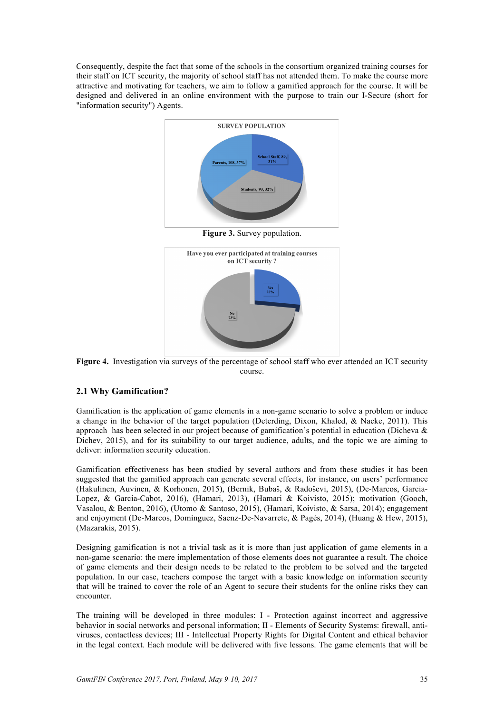Consequently, despite the fact that some of the schools in the consortium organized training courses for their staff on ICT security, the majority of school staff has not attended them. To make the course more attractive and motivating for teachers, we aim to follow a gamified approach for the course. It will be designed and delivered in an online environment with the purpose to train our I-Secure (short for "information security") Agents.



Figure 4. Investigation via surveys of the percentage of school staff who ever attended an ICT security course.

# **2.1 Why Gamification?**

Gamification is the application of game elements in a non-game scenario to solve a problem or induce a change in the behavior of the target population (Deterding, Dixon, Khaled, & Nacke, 2011). This approach has been selected in our project because of gamification's potential in education (Dicheva & Dichev, 2015), and for its suitability to our target audience, adults, and the topic we are aiming to deliver: information security education.

Gamification effectiveness has been studied by several authors and from these studies it has been suggested that the gamified approach can generate several effects, for instance, on users' performance (Hakulinen, Auvinen, & Korhonen, 2015), (Bernik, Bubaš, & Radoševi, 2015), (De-Marcos, Garcia-Lopez, & Garcia-Cabot, 2016), (Hamari, 2013), (Hamari & Koivisto, 2015); motivation (Gooch, Vasalou, & Benton, 2016), (Utomo & Santoso, 2015), (Hamari, Koivisto, & Sarsa, 2014); engagement and enjoyment (De-Marcos, Domínguez, Saenz-De-Navarrete, & Pagés, 2014), (Huang & Hew, 2015), (Mazarakis, 2015).

Designing gamification is not a trivial task as it is more than just application of game elements in a non-game scenario: the mere implementation of those elements does not guarantee a result. The choice of game elements and their design needs to be related to the problem to be solved and the targeted population. In our case, teachers compose the target with a basic knowledge on information security that will be trained to cover the role of an Agent to secure their students for the online risks they can encounter.

The training will be developed in three modules: I - Protection against incorrect and aggressive behavior in social networks and personal information; II - Elements of Security Systems: firewall, antiviruses, contactless devices; III - Intellectual Property Rights for Digital Content and ethical behavior in the legal context. Each module will be delivered with five lessons. The game elements that will be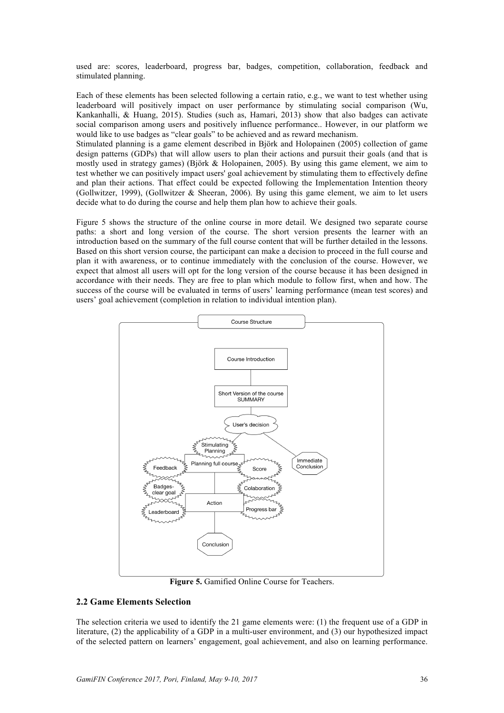used are: scores, leaderboard, progress bar, badges, competition, collaboration, feedback and stimulated planning.

Each of these elements has been selected following a certain ratio, e.g., we want to test whether using leaderboard will positively impact on user performance by stimulating social comparison (Wu, Kankanhalli, & Huang, 2015). Studies (such as, Hamari, 2013) show that also badges can activate social comparison among users and positively influence performance.. However, in our platform we would like to use badges as "clear goals" to be achieved and as reward mechanism.

Stimulated planning is a game element described in Björk and Holopainen (2005) collection of game design patterns (GDPs) that will allow users to plan their actions and pursuit their goals (and that is mostly used in strategy games) (Björk & Holopainen, 2005). By using this game element, we aim to test whether we can positively impact users' goal achievement by stimulating them to effectively define and plan their actions. That effect could be expected following the Implementation Intention theory (Gollwitzer, 1999), (Gollwitzer & Sheeran, 2006). By using this game element, we aim to let users decide what to do during the course and help them plan how to achieve their goals.

Figure 5 shows the structure of the online course in more detail. We designed two separate course paths: a short and long version of the course. The short version presents the learner with an introduction based on the summary of the full course content that will be further detailed in the lessons. Based on this short version course, the participant can make a decision to proceed in the full course and plan it with awareness, or to continue immediately with the conclusion of the course. However, we expect that almost all users will opt for the long version of the course because it has been designed in accordance with their needs. They are free to plan which module to follow first, when and how. The success of the course will be evaluated in terms of users' learning performance (mean test scores) and users' goal achievement (completion in relation to individual intention plan).



**Figure 5.** Gamified Online Course for Teachers.

# **2.2 Game Elements Selection**

The selection criteria we used to identify the 21 game elements were: (1) the frequent use of a GDP in literature, (2) the applicability of a GDP in a multi-user environment, and (3) our hypothesized impact of the selected pattern on learners' engagement, goal achievement, and also on learning performance.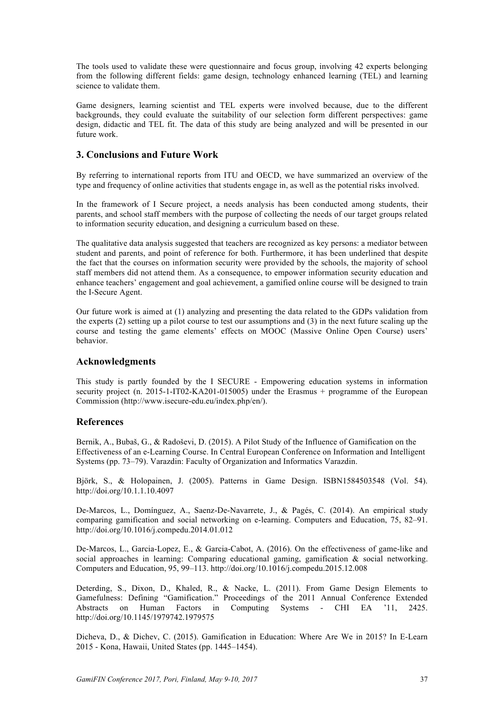The tools used to validate these were questionnaire and focus group, involving 42 experts belonging from the following different fields: game design, technology enhanced learning (TEL) and learning science to validate them.

Game designers, learning scientist and TEL experts were involved because, due to the different backgrounds, they could evaluate the suitability of our selection form different perspectives: game design, didactic and TEL fit. The data of this study are being analyzed and will be presented in our future work.

# **3. Conclusions and Future Work**

By referring to international reports from ITU and OECD, we have summarized an overview of the type and frequency of online activities that students engage in, as well as the potential risks involved.

In the framework of I Secure project, a needs analysis has been conducted among students, their parents, and school staff members with the purpose of collecting the needs of our target groups related to information security education, and designing a curriculum based on these.

The qualitative data analysis suggested that teachers are recognized as key persons: a mediator between student and parents, and point of reference for both. Furthermore, it has been underlined that despite the fact that the courses on information security were provided by the schools, the majority of school staff members did not attend them. As a consequence, to empower information security education and enhance teachers' engagement and goal achievement, a gamified online course will be designed to train the I-Secure Agent.

Our future work is aimed at (1) analyzing and presenting the data related to the GDPs validation from the experts (2) setting up a pilot course to test our assumptions and (3) in the next future scaling up the course and testing the game elements' effects on MOOC (Massive Online Open Course) users' behavior.

# **Acknowledgments**

This study is partly founded by the I SECURE - Empowering education systems in information security project (n. 2015-1-IT02-KA201-015005) under the Erasmus + programme of the European Commission (http://www.isecure-edu.eu/index.php/en/).

# **References**

Bernik, A., Bubaš, G., & Radoševi, D. (2015). A Pilot Study of the Influence of Gamification on the Effectiveness of an e-Learning Course. In Central European Conference on Information and Intelligent Systems (pp. 73–79). Varazdin: Faculty of Organization and Informatics Varazdin.

Björk, S., & Holopainen, J. (2005). Patterns in Game Design. ISBN1584503548 (Vol. 54). http://doi.org/10.1.1.10.4097

De-Marcos, L., Domínguez, A., Saenz-De-Navarrete, J., & Pagés, C. (2014). An empirical study comparing gamification and social networking on e-learning. Computers and Education, 75, 82–91. http://doi.org/10.1016/j.compedu.2014.01.012

De-Marcos, L., Garcia-Lopez, E., & Garcia-Cabot, A. (2016). On the effectiveness of game-like and social approaches in learning: Comparing educational gaming, gamification & social networking. Computers and Education, 95, 99–113. http://doi.org/10.1016/j.compedu.2015.12.008

Deterding, S., Dixon, D., Khaled, R., & Nacke, L. (2011). From Game Design Elements to Gamefulness: Defining "Gamification." Proceedings of the 2011 Annual Conference Extended Abstracts on Human Factors in Computing Systems - CHI EA '11, 2425. http://doi.org/10.1145/1979742.1979575

Dicheva, D., & Dichev, C. (2015). Gamification in Education: Where Are We in 2015? In E-Learn 2015 - Kona, Hawaii, United States (pp. 1445–1454).